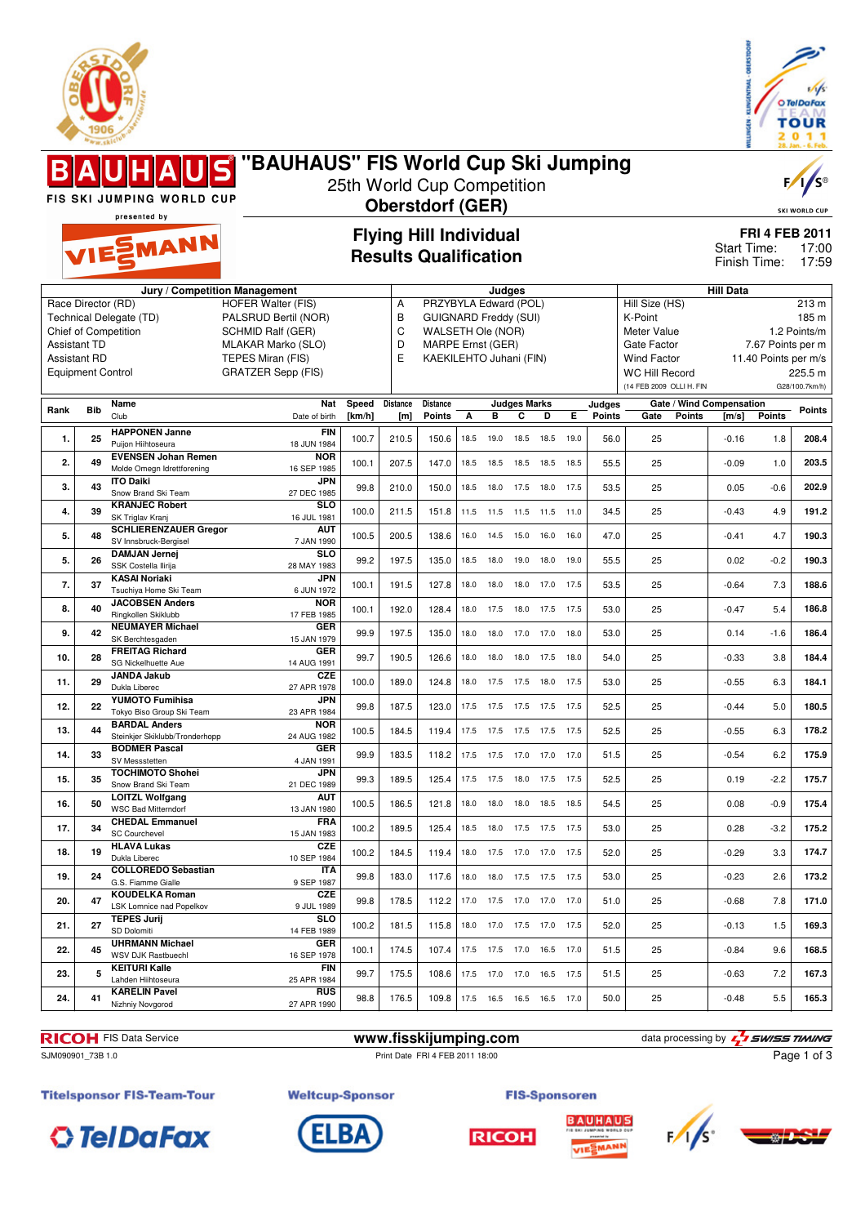



#### **"BAUHAUS" FIS World Cup Ski Jumping** 25th World Cup Competition FIS SKI JUMPING WORLD CUP **Oberstdorf (GER)** presented by **Flying Hill Individual** EMANN Start Time: **Results Qualification** Finish Time: **Jury / Competition Management Judges Hill Data** A PRZYBYLA Edward (POL) Hill Size (HS) 213 m Race Director (RD) HOFER Walter (FIS) Technical Delegate (TD) PALSRUD Bertil (NOR) B GUIGNARD Freddy (SUI) K-Point 185 m Chief of Competition SCHMID Ralf (GER) C WALSETH Ole (NOR) Meter Value 1.2 Points/m Assistant TD MLAKAR Marko (SLO) D MARPE Ernst (GER) Gate Factor 7.67 Points per m Assistant RD TEPES Miran (FIS)<br>Equipment Control GRATZER Sepp (F E KAEKILEHTO Juhani (FIN) Wind Factor 11.40 Points per m/s<br>WC Hill Record 225.5 m GRATZER Sepp (FIS) WC Hill Record (14 FEB 2009 OLLI H. FIN G28/100.7km/h) **Rank Bib Name Distance Judges Marks Judges Nat Speed Distance Gate / Wind Compensation Gate Points [m/s] Points Points Points** Club Date of birth **[km/h] [m] Points A B C D E 1. 25 HAPPONEN Janne FIN**<br>18 JUN 1984 18 JUN 1984 100.7 210.5 150.6 18.5 19.0 18.5 18.5 19.0 56.0 25 -0.16 1.8 **208.4** Puijon Hiihtoseura **2. 49 EVENSEN Johan Remen NOR** 16 SEP 1985 100.1 207.5 147.0 18.5 18.5 18.5 18.5 18.5 55.5 25 -0.09 1.0 **203.5** Molde Omegn Idrettforening **JPN**<br>27 DEC 1985 **3.** 43 **ITO Daiki**<br>
Snow Brand Ski Team 27 DEC 1985 99.8 210.0 150.0 18.5 18.0 17.5 18.0 17.5 53.5 25 0.05 -0.6 **202.9 4. 39 KRANJEC Robert SLO**<br>16 JUL 1981 16 JUL 1981 100.0 211.5 151.8 11.5 11.5 11.5 11.5 11.0 34.5 25 -0.43 4.9 **191.2** SK Triglav Kranj **5. 48 SCHLIERENZAUER Gregor AUT** SV Innsbruck-Bergisel 7 JAN 1990 100.5 200.5 138.6 16.0 14.5 15.0 16.0 16.0 47.0 25 -0.41 4.7 **190.3 SLO 5. 26 DAMJAN Jernej** SSK Costella Ilirija 28 MAY 1983 99.2 197.5 135.0 18.5 18.0 19.0 18.0 19.0 55.5 25 0.02 -0.2 **190.3 7. 37 KASAI Noriaki JPN** 6 JUN 1972 100.1 191.5 127.8 18.0 18.0 18.0 17.0 17.5 53.5 25 -0.64 7.3 **188.6** Tsuchiya Home Ski Team **8. 40 JACOBSEN Anders NOR**<br>17 FEB 1985 17 FEB 1985 100.1 192.0 128.4 18.0 17.5 18.0 17.5 17.5 53.0 25 -0.47 5.4 **186.8** Ringkollen Skiklubb **9. 42 NEUMAYER Michael GER** 15 JAN 1979 99.9 197.5 135.0 18.0 18.0 17.0 17.0 18.0 53.0 25 0.14 -1.6 **186.4** SK Berchtesgaden **10. 28 FREITAG Richard GER** 14 AUG 1991 99.7 190.5 126.6 18.0 18.0 18.0 17.5 18.0 54.0 25 -0.33 3.8 **184.4** SG Nickelhuette Aue **11. 29 JANDA Jakub CZE**<br>27 APR 1978 27 APR 1978 100.0 189.0 124.8 18.0 17.5 17.5 18.0 17.5 53.0 25 -0.55 6.3 **184.1** Dukla Liberec **12. 22 YUMOTO Fumihisa JPN** 23 APR 1984 99.8 187.5 123.0 17.5 17.5 17.5 17.5 17.5 52.5 25 -0.44 5.0 **180.5** Tokyo Biso Group Ski Team **13. 44 BARDAL Anders NOR**<br>24 AUG 1982 24 AUG 1982 100.5 184.5 119.4 17.5 17.5 17.5 17.5 17.5 52.5 25 -0.55 6.3 **178.2** Steinkjer Skiklubb/Tronderhopp

**RICOH** FIS Data Service **www.fisskijumping.com** data processing by  $\frac{7}{2}$  **swiss TIMING** SJM090901 73B 1.0 **Print Date FRI 4 FEB 2011 18:00** 

**14. 33 BODMER Pascal** SV Messstetten

**16. 50 LOITZL Wolfgang** WSC Bad Mitterndorf

**18. 19 HLAVA Lukas** Dukla Liberer

**21. 27 TEPES Jurij** SD Dolomiti

**23. 5 KEITURI Kalle**

**24. 41 KARELIN Pavel** Nizhniy Novgorod

**17. 34 CHEDAL Emmanuel** SC Courchevel

**19. 24 COLLOREDO Sebastian** G.S. Fiamme Gialle

LSK Lomnice nad Popelkov

**20. 47 KOUDELKA Roman**

**22. 45 UHRMANN Michael** WSV DJK Rastbuechl

Lahden Hiihtoseura

**15. 35 TOCHIMOTO Shohei** Snow Brand Ski Team

**FIS-Sponsoren** 

4 JAN 1991 99.9 183.5 118.2 17.5 17.5 17.0 17.0 17.0 51.5 25 -0.54 6.2 **175.9**

21 DEC 1989 99.3 189.5 125.4 17.5 17.5 18.0 17.5 17.5 52.5 25 0.19 -2.2 **175.7**

13 JAN 1980 100.5 186.5 121.8 18.0 18.0 18.0 18.5 18.5 54.5 25 0.08 -0.9 **175.4**

15 JAN 1983 100.2 189.5 125.4 18.5 18.0 17.5 17.5 17.5 53.0 25 0.28 -3.2 **175.2**

10 SEP 1984 100.2 184.5 119.4 18.0 17.5 17.0 17.0 17.5 52.0 25 -0.29 3.3 **174.7**

9 SEP 1987 99.8 183.0 117.6 18.0 18.0 17.5 17.5 17.5 53.0 25 -0.23 2.6 **173.2**

9 JUL 1989 99.8 178.5 112.2 17.0 17.5 17.0 17.0 17.0 51.0 25 -0.68 7.8 **171.0**

14 FEB 1989 100.2 181.5 115.8 18.0 17.0 17.5 17.0 17.5 52.0 25 -0.13 1.5 **169.3**

16 SEP 1978 100.1 174.5 107.4 17.5 17.5 17.0 16.5 17.0 51.5 25 -0.84 9.6 **168.5**

25 APR 1984 99.7 175.5 108.6 17.5 17.0 17.0 16.5 17.5 51.5 25 -0.63 7.2 **167.3**

27 APR 1990 98.8 176.5 109.8 17.5 16.5 16.5 16.5 17.0 50.0 25 -0.48 5.5 **165.3**

**BAUHAUS** 



Page 1 of 3

**Titelsponsor FIS-Team-Tour** 





**Weltcup-Sponsor** 

**GER**

**AUT**

**JPN**<br>21 DEC 1989

**FRA**<br>15 JAN 1983

**CZE**<br>10 SEP 1984

**ITA**<br>9 SEP 1987

**CZE**<br>9 JUL 1989

**SLO**<br>14 FFR 1989

**FIN**<br>25 APR 1984

**RUS**<br>27 APR 1990

**GER**





**FRI 4 FEB 2011** 17:00 17:59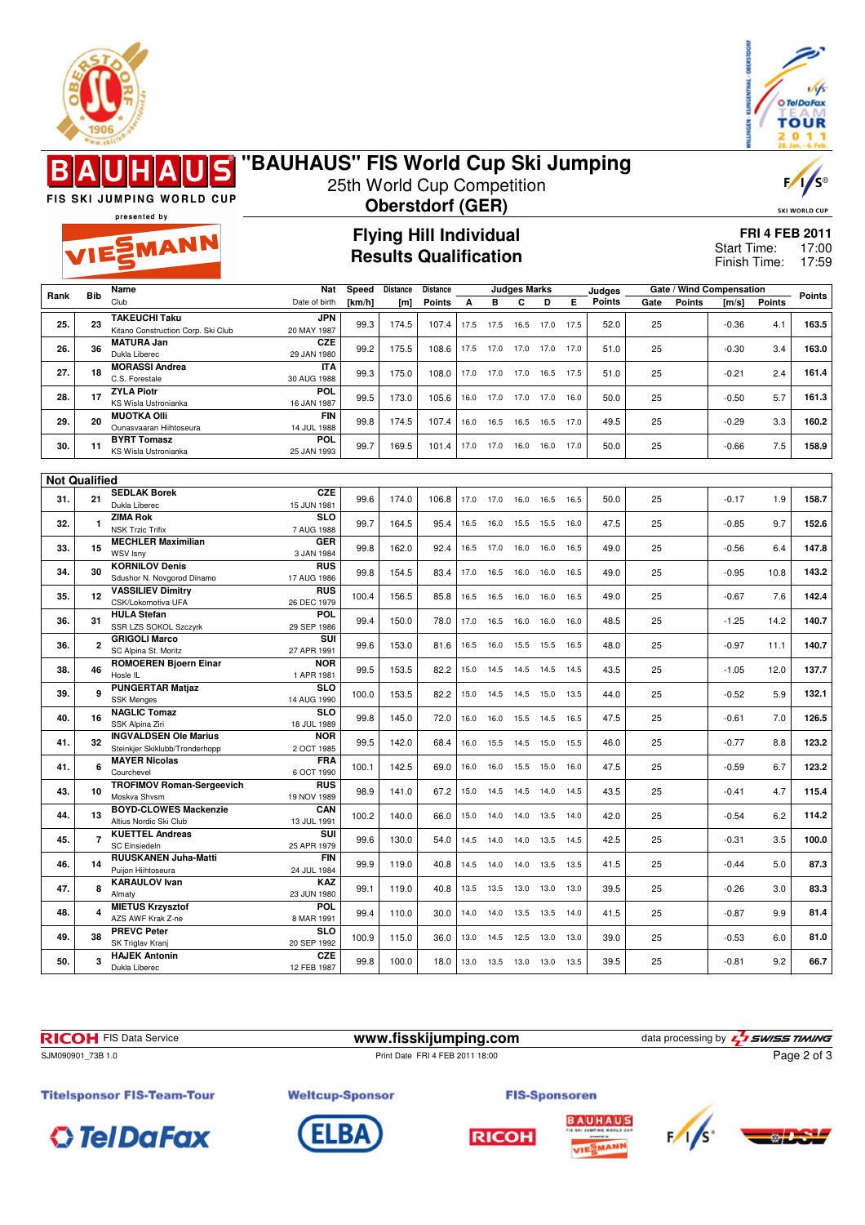



#### **"BAUHAUS" FIS World Cup Ski Jumping**  $\blacksquare$ 25th World Cup Competition FIS SKI JUMPING WORLD CUP **Oberstdorf (GER)** presented by **Flying Hill Individual** EMANN **Results Qualification**

**SKI WORLD CUP FRI 4 FEB 2011** 17:00

 $\overline{V}$ 

Finish Time: 17:59 Start Time:

|      |                      | Name                                                           | Nat                       | Speed  | <b>Distance</b>  | Distance      |      | <b>Judges Marks</b> |           |      | Judges | Gate / Wind Compensation |      |               |         |               |               |
|------|----------------------|----------------------------------------------------------------|---------------------------|--------|------------------|---------------|------|---------------------|-----------|------|--------|--------------------------|------|---------------|---------|---------------|---------------|
| Rank | <b>Bib</b>           | Club                                                           | Date of birth             | [km/h] | [ <sub>m</sub> ] | <b>Points</b> | A    | B                   | C         | D    | Е      | <b>Points</b>            | Gate | <b>Points</b> | [m/s]   | <b>Points</b> | <b>Points</b> |
|      |                      | <b>TAKEUCHI Taku</b>                                           | <b>JPN</b>                |        |                  |               |      |                     |           |      |        |                          |      |               |         |               |               |
| 25.  | 23                   | Kitano Construction Corp. Ski Club                             | 20 MAY 1987               | 99.3   | 174.5            | 107.4         | 17.5 | 17.5                | 16.5      | 17.0 | 17.5   | 52.0                     | 25   |               | $-0.36$ | 4.1           | 163.5         |
| 26.  | 36                   | <b>MATURA Jan</b>                                              | <b>CZE</b>                | 99.2   | 175.5            | 108.6         | 17.5 | 17.0                | 17.0      | 17.0 | 17.0   | 51.0                     | 25   |               | $-0.30$ | 3.4           | 163.0         |
|      |                      | Dukla Liberec                                                  | 29 JAN 1980               |        |                  |               |      |                     |           |      |        |                          |      |               |         |               |               |
| 27.  | 18                   | <b>MORASSI Andrea</b><br>C.S. Forestale                        | <b>ITA</b><br>30 AUG 1988 | 99.3   | 175.0            | 108.0         | 17.0 | 17.0                | 17.0      | 16.5 | 17.5   | 51.0                     | 25   |               | $-0.21$ | 2.4           | 161.4         |
|      |                      | <b>ZYLA Piotr</b>                                              | POL                       |        |                  |               |      |                     |           |      |        |                          |      |               |         |               |               |
| 28.  | 17                   | KS Wisla Ustronianka                                           | 16 JAN 1987               | 99.5   | 173.0            | 105.6         | 16.0 | 17.0                | 17.0      | 17.0 | 16.0   | 50.0                     | 25   |               | $-0.50$ | 5.7           | 161.3         |
| 29.  | 20                   | <b>MUOTKA OIII</b>                                             | <b>FIN</b>                | 99.8   | 174.5            | 107.4         | 16.0 | 16.5                | 16.5      | 16.5 | 17.0   | 49.5                     | 25   |               | $-0.29$ | 3.3           | 160.2         |
|      |                      | Ounasvaaran Hiihtoseura<br><b>BYRT Tomasz</b>                  | 14 JUL 1988<br>POL        |        |                  |               |      |                     |           |      |        |                          |      |               |         |               |               |
| 30.  | 11                   | KS Wisla Ustronianka                                           | 25 JAN 1993               | 99.7   | 169.5            | 101.4         | 17.0 | 17.0                | 16.0      | 16.0 | 17.0   | 50.0                     | 25   |               | $-0.66$ | 7.5           | 158.9         |
|      |                      |                                                                |                           |        |                  |               |      |                     |           |      |        |                          |      |               |         |               |               |
|      | <b>Not Qualified</b> |                                                                |                           |        |                  |               |      |                     |           |      |        |                          |      |               |         |               |               |
|      |                      | <b>SEDLAK Borek</b>                                            | <b>CZE</b>                |        |                  |               | 17.0 | 17.0                |           |      |        |                          |      |               |         |               |               |
| 31.  | 21                   | Dukla Liberec                                                  | 15 JUN 1981               | 99.6   | 174.0            | 106.8         |      |                     | 16.0      | 16.5 | 16.5   | 50.0                     | 25   |               | $-0.17$ | 1.9           | 158.7         |
| 32.  | $\mathbf{1}$         | <b>ZIMA Rok</b>                                                | <b>SLO</b>                | 99.7   | 164.5            | 95.4          | 16.5 | 16.0                | 15.5      | 15.5 | 16.0   | 47.5                     | 25   |               | $-0.85$ | 9.7           | 152.6         |
|      |                      | <b>NSK Trzic Trifix</b><br><b>MECHLER Maximilian</b>           | 7 AUG 1988<br><b>GER</b>  |        |                  |               |      |                     |           |      |        |                          |      |               |         |               |               |
| 33.  | 15                   | WSV Isny                                                       | 3 JAN 1984                | 99.8   | 162.0            | 92.4          | 16.5 | 17.0                | 16.0      | 16.0 | 16.5   | 49.0                     | 25   |               | $-0.56$ | 6.4           | 147.8         |
| 34.  | 30                   | <b>KORNILOV Denis</b>                                          | <b>RUS</b>                | 99.8   | 154.5            | 83.4          | 17.0 | 16.5                |           |      | 16.5   | 49.0                     | 25   |               | $-0.95$ | 10.8          | 143.2         |
|      |                      | Sdushor N. Novgorod Dinamo                                     | 17 AUG 1986               |        |                  |               |      |                     | 16.0      | 16.0 |        |                          |      |               |         |               |               |
| 35.  | 12                   | <b>VASSILIEV Dimitry</b>                                       | <b>RUS</b>                | 100.4  | 156.5            | 85.8          | 16.5 | 16.5                | 16.0      | 16.0 | 16.5   | 49.0                     | 25   |               | $-0.67$ | 7.6           | 142.4         |
|      |                      | CSK/Lokomotiva UFA<br><b>HULA Stefan</b>                       | 26 DEC 1979<br>POL        |        |                  |               |      |                     |           |      |        |                          |      |               |         |               |               |
| 36.  | 31                   | SSR LZS SOKOL Szczyrk                                          | 29 SEP 1986               | 99.4   | 150.0            | 78.0          | 17.0 | 16.5                | 16.0      | 16.0 | 16.0   | 48.5                     | 25   |               | $-1.25$ | 14.2          | 140.7         |
| 36.  | $\overline{2}$       | <b>GRIGOLI Marco</b>                                           | SUI                       | 99.6   | 153.0            | 81.6          | 16.5 | 16.0                | 15.5      | 15.5 | 16.5   | 48.0                     | 25   |               | $-0.97$ | 11.1          | 140.7         |
|      |                      | SC Alpina St. Moritz                                           | 27 APR 1991               |        |                  |               |      |                     |           |      |        |                          |      |               |         |               |               |
| 38.  | 46                   | <b>ROMOEREN Bjoern Einar</b><br>Hosle IL                       | <b>NOR</b><br>1 APR 1981  | 99.5   | 153.5            | 82.2          | 15.0 | 14.5                | 14.5      | 14.5 | 14.5   | 43.5                     | 25   |               | $-1.05$ | 12.0          | 137.7         |
|      |                      | <b>PUNGERTAR Matjaz</b>                                        | <b>SLO</b>                |        |                  |               |      |                     |           |      |        |                          |      |               |         |               |               |
| 39.  | 9                    | <b>SSK Menges</b>                                              | 14 AUG 1990               | 100.0  | 153.5            | 82.2          | 15.0 | 14.5                | 14.5      | 15.0 | 13.5   | 44.0                     | 25   |               | $-0.52$ | 5.9           | 132.1         |
| 40.  | 16                   | <b>NAGLIC Tomaz</b>                                            | <b>SLO</b>                | 99.8   | 145.0            | 72.0          | 16.0 | 16.0                | 15.5      | 14.5 | 16.5   | 47.5                     | 25   |               | $-0.61$ | 7.0           | 126.5         |
|      |                      | SSK Alpina Ziri                                                | 18 JUL 1989               |        |                  |               |      |                     |           |      |        |                          |      |               |         |               |               |
| 41.  | 32                   | <b>INGVALDSEN Ole Marius</b><br>Steinkjer Skiklubb/Tronderhopp | <b>NOR</b><br>2 OCT 1985  | 99.5   | 142.0            | 68.4          | 16.0 | 15.5                | 14.5      | 15.0 | 15.5   | 46.0                     | 25   |               | $-0.77$ | 8.8           | 123.2         |
|      |                      | <b>MAYER Nicolas</b>                                           | <b>FRA</b>                |        |                  |               |      |                     |           |      |        |                          |      |               |         |               |               |
| 41.  | 6                    | Courchevel                                                     | 6 OCT 1990                | 100.1  | 142.5            | 69.0          | 16.0 | 16.0                | 15.5      | 15.0 | 16.0   | 47.5                     | 25   |               | $-0.59$ | 6.7           | 123.2         |
| 43.  | 10                   | <b>TROFIMOV Roman-Sergeevich</b>                               | <b>RUS</b>                | 98.9   | 141.0            | 67.2          | 15.0 | 14.5                | 14.5      | 14.0 | 14.5   | 43.5                     | 25   |               | $-0.41$ | 4.7           | 115.4         |
|      |                      | Moskva Shvsm                                                   | 19 NOV 1989               |        |                  |               |      |                     |           |      |        |                          |      |               |         |               |               |
| 44.  | 13                   | <b>BOYD-CLOWES Mackenzie</b><br>Altius Nordic Ski Club         | CAN<br>13 JUL 1991        | 100.2  | 140.0            | 66.0          | 15.0 | 14.0                | 14.0      | 13.5 | 14.0   | 42.0                     | 25   |               | $-0.54$ | 6.2           | 114.2         |
|      |                      | <b>KUETTEL Andreas</b>                                         | SUI                       |        |                  |               |      |                     |           |      |        |                          |      |               |         |               |               |
| 45.  | $\overline{7}$       | <b>SC Einsiedeln</b>                                           | 25 APR 1979               | 99.6   | 130.0            | 54.0          | 14.5 | 14.0                | 14.0      | 13.5 | 14.5   | 42.5                     | 25   |               | $-0.31$ | 3.5           | 100.0         |
| 46.  | 14                   | RUUSKANEN Juha-Matti                                           | <b>FIN</b>                | 99.9   | 119.0            | 40.8          | 14.5 | 14.0                | 14.0      | 13.5 | 13.5   | 41.5                     | 25   |               | $-0.44$ | 5.0           | 87.3          |
|      |                      | Puijon Hiihtoseura                                             | 24 JUL 1984               |        |                  |               |      |                     |           |      |        |                          |      |               |         |               |               |
| 47.  | 8                    | <b>KARAULOV</b> Ivan<br>Almaty                                 | <b>KAZ</b><br>23 JUN 1980 | 99.1   | 119.0            | 40.8          | 13.5 | 13.5                | 13.0      | 13.0 | 13.0   | 39.5                     | 25   |               | $-0.26$ | 3.0           | 83.3          |
|      |                      | <b>MIETUS Krzysztof</b>                                        | POL                       |        |                  |               |      |                     |           |      |        |                          |      |               |         |               |               |
| 48.  | 4                    | AZS AWF Krak Z-ne                                              | 8 MAR 1991                | 99.4   | 110.0            | 30.0          | 14.0 | 14.0                | 13.5      | 13.5 | 14.0   | 41.5                     | 25   |               | $-0.87$ | 9.9           | 81.4          |
| 49.  | 38                   | <b>PREVC Peter</b>                                             | <b>SLO</b>                | 100.9  | 115.0            | 36.0          | 13.0 | 14.5                | 12.5      | 13.0 | 13.0   | 39.0                     | 25   |               | $-0.53$ | 6.0           | 81.0          |
|      |                      | SK Triglav Kranj<br><b>HAJEK Antonin</b>                       | 20 SEP 1992<br><b>CZE</b> |        |                  |               |      |                     |           |      |        |                          |      |               |         |               |               |
| 50.  | 3                    | Dukla Liberec                                                  | 12 FEB 1987               | 99.8   | 100.0            | 18.0          | 13.0 | 13.5                | 13.0 13.0 |      | 13.5   | 39.5                     | 25   |               | $-0.81$ | 9.2           | 66.7          |
|      |                      |                                                                |                           |        |                  |               |      |                     |           |      |        |                          |      |               |         |               |               |

**RICOH** FIS Data Service **www.fisskijumping.com** data processing by  $\frac{7}{2}$  **swiss TIMING** Page 2 of 3

SJM090901\_73B 1.0 Print Date FRI 4 FEB 2011 18:00

**Titelsponsor FIS-Team-Tour** 







**RICOH** 





**Weltcup-Sponsor**